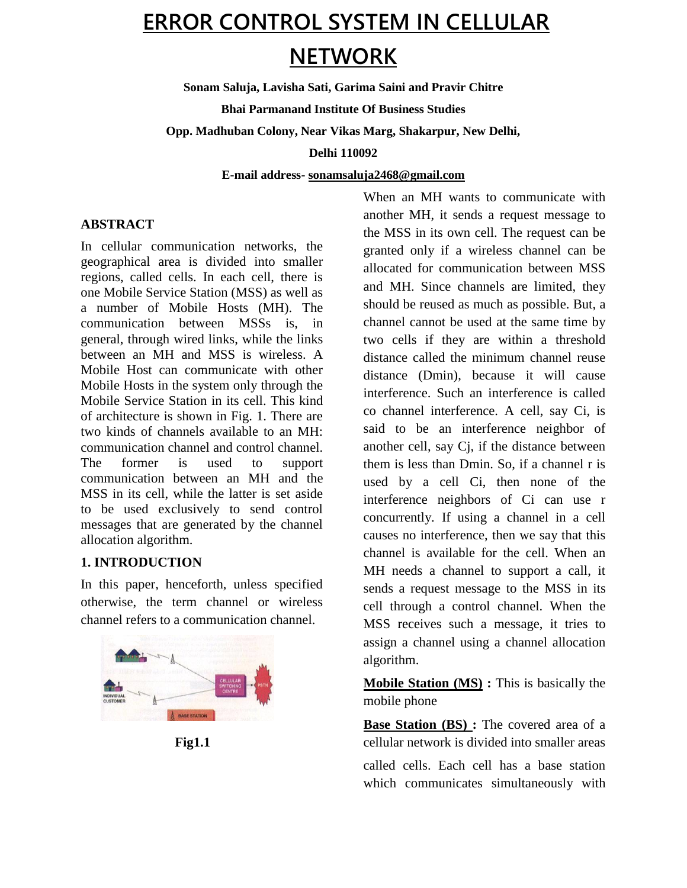# **ERROR CONTROL SYSTEM IN CELLULAR**

## **NETWORK**

**Sonam Saluja, Lavisha Sati, Garima Saini and Pravir Chitre**

**Bhai Parmanand Institute Of Business Studies**

**Opp. Madhuban Colony, Near Vikas Marg, Shakarpur, New Delhi,** 

**Delhi 110092**

**E-mail address- sonamsaluja2468@gmail.com**

## **ABSTRACT**

In cellular communication networks, the geographical area is divided into smaller regions, called cells. In each cell, there is one Mobile Service Station (MSS) as well as a number of Mobile Hosts (MH). The communication between MSSs is, in general, through wired links, while the links between an MH and MSS is wireless. A Mobile Host can communicate with other Mobile Hosts in the system only through the Mobile Service Station in its cell. This kind of architecture is shown in Fig. 1. There are two kinds of channels available to an MH: communication channel and control channel. The former is used to support communication between an MH and the MSS in its cell, while the latter is set aside to be used exclusively to send control messages that are generated by the channel allocation algorithm.

## **1. INTRODUCTION**

In this paper, henceforth, unless specified otherwise, the term channel or wireless channel refers to a communication channel.



 **Fig1.1**

When an MH wants to communicate with another MH, it sends a request message to the MSS in its own cell. The request can be granted only if a wireless channel can be allocated for communication between MSS and MH. Since channels are limited, they should be reused as much as possible. But, a channel cannot be used at the same time by two cells if they are within a threshold distance called the minimum channel reuse distance (Dmin), because it will cause interference. Such an interference is called co channel interference. A cell, say Ci, is said to be an interference neighbor of another cell, say Cj, if the distance between them is less than Dmin. So, if a channel r is used by a cell Ci, then none of the interference neighbors of Ci can use r concurrently. If using a channel in a cell causes no interference, then we say that this channel is available for the cell. When an MH needs a channel to support a call, it sends a request message to the MSS in its cell through a control channel. When the MSS receives such a message, it tries to assign a channel using a channel allocation algorithm.

**Mobile Station (MS) :** This is basically the mobile phone

**Base Station (BS) :** The covered area of a cellular network is divided into smaller areas called cells. Each cell has a base station which communicates simultaneously with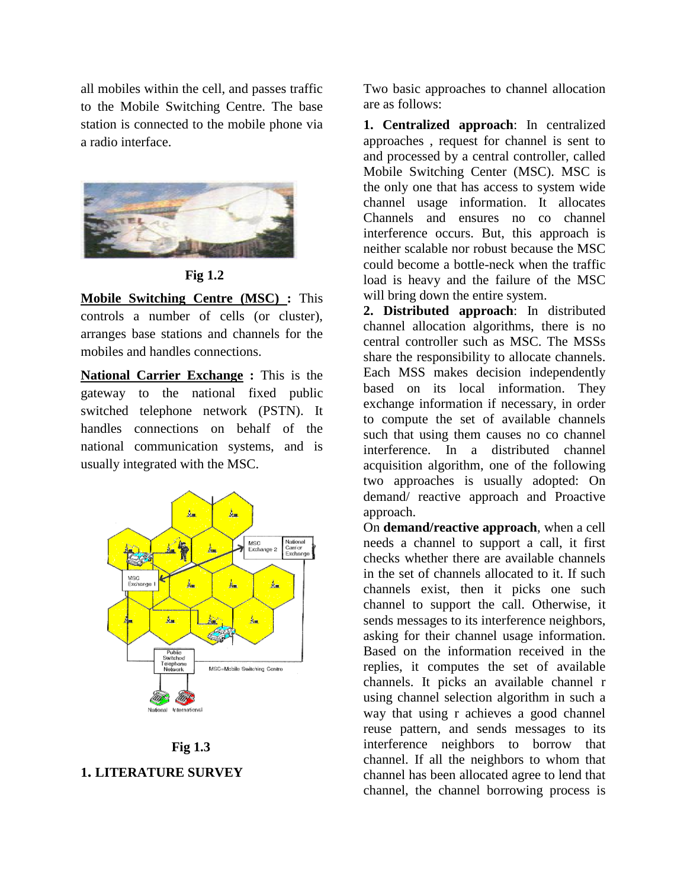all mobiles within the cell, and passes traffic to the Mobile Switching Centre. The base station is connected to the mobile phone via a radio interface.





**Mobile Switching Centre (MSC) :** This controls a number of cells (or cluster), arranges base stations and channels for the mobiles and handles connections.

**National Carrier Exchange :** This is the gateway to the national fixed public switched telephone network (PSTN). It handles connections on behalf of the national communication systems, and is usually integrated with the MSC.



**Fig 1.3**

## **1. LITERATURE SURVEY**

Two basic approaches to channel allocation are as follows:

**1. Centralized approach**: In centralized approaches , request for channel is sent to and processed by a central controller, called Mobile Switching Center (MSC). MSC is the only one that has access to system wide channel usage information. It allocates Channels and ensures no co channel interference occurs. But, this approach is neither scalable nor robust because the MSC could become a bottle-neck when the traffic load is heavy and the failure of the MSC will bring down the entire system.

**2. Distributed approach**: In distributed channel allocation algorithms, there is no central controller such as MSC. The MSSs share the responsibility to allocate channels. Each MSS makes decision independently based on its local information. They exchange information if necessary, in order to compute the set of available channels such that using them causes no co channel interference. In a distributed channel acquisition algorithm, one of the following two approaches is usually adopted: On demand/ reactive approach and Proactive approach.

On **demand/reactive approach**, when a cell needs a channel to support a call, it first checks whether there are available channels in the set of channels allocated to it. If such channels exist, then it picks one such channel to support the call. Otherwise, it sends messages to its interference neighbors, asking for their channel usage information. Based on the information received in the replies, it computes the set of available channels. It picks an available channel r using channel selection algorithm in such a way that using r achieves a good channel reuse pattern, and sends messages to its interference neighbors to borrow that channel. If all the neighbors to whom that channel has been allocated agree to lend that channel, the channel borrowing process is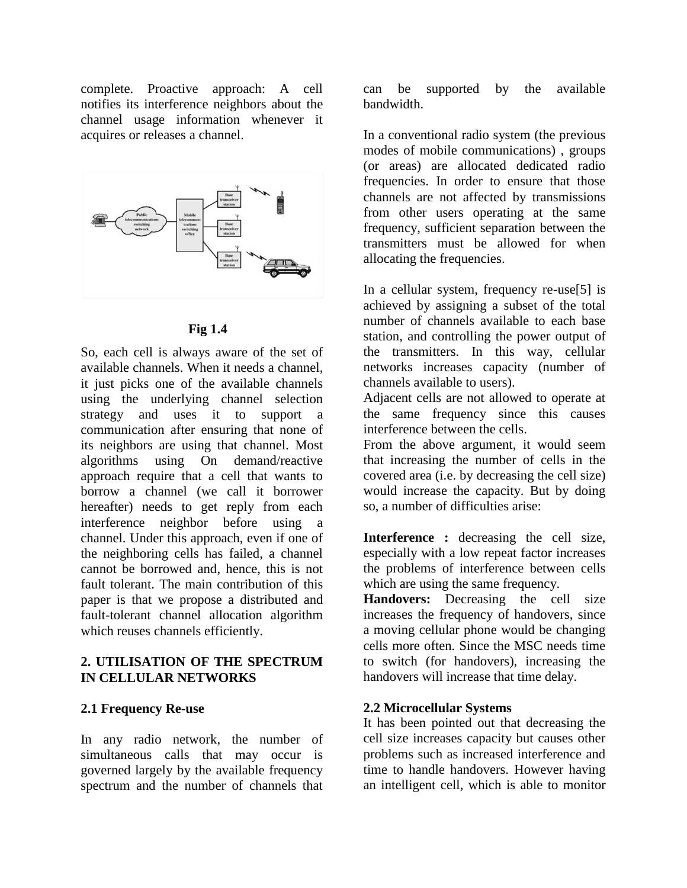complete. Proactive approach: A cell notifies its interference neighbors about the channel usage information whenever it acquires or releases a channel.



#### **Fig 1.4**

So, each cell is always aware of the set of available channels. When it needs a channel, it just picks one of the available channels using the underlying channel selection strategy and uses it to support a communication after ensuring that none of its neighbors are using that channel. Most algorithms using On demand/reactive approach require that a cell that wants to borrow a channel (we call it borrower hereafter) needs to get reply from each interference neighbor before using a channel. Under this approach, even if one of the neighboring cells has failed, a channel cannot be borrowed and, hence, this is not fault tolerant. The main contribution of this paper is that we propose a distributed and fault-tolerant channel allocation algorithm which reuses channels efficiently.

## **2. UTILISATION OF THE SPECTRUM IN CELLULAR NETWORKS**

#### **2.1 Frequency Re-use**

In any radio network, the number of simultaneous calls that may occur is governed largely by the available frequency spectrum and the number of channels that can be supported by the available bandwidth.

In a conventional radio system (the previous modes of mobile communications) , groups (or areas) are allocated dedicated radio frequencies. In order to ensure that those channels are not affected by transmissions from other users operating at the same frequency, sufficient separation between the transmitters must be allowed for when allocating the frequencies.

In a cellular system, frequency re-use[5] is achieved by assigning a subset of the total number of channels available to each base station, and controlling the power output of the transmitters. In this way, cellular networks increases capacity (number of channels available to users).

Adjacent cells are not allowed to operate at the same frequency since this causes interference between the cells.

From the above argument, it would seem that increasing the number of cells in the covered area (i.e. by decreasing the cell size) would increase the capacity. But by doing so, a number of difficulties arise:

**Interference**: decreasing the cell size, especially with a low repeat factor increases the problems of interference between cells which are using the same frequency.

**Handovers:** Decreasing the cell size increases the frequency of handovers, since a moving cellular phone would be changing cells more often. Since the MSC needs time to switch (for handovers), increasing the handovers will increase that time delay.

#### **2.2 Microcellular Systems**

It has been pointed out that decreasing the cell size increases capacity but causes other problems such as increased interference and time to handle handovers. However having an intelligent cell, which is able to monitor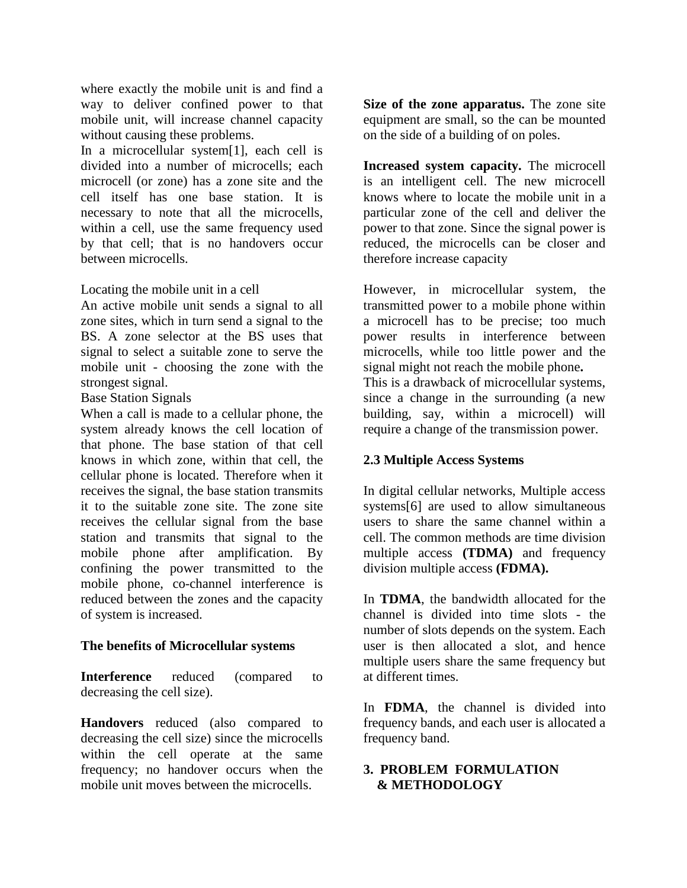where exactly the mobile unit is and find a way to deliver confined power to that mobile unit, will increase channel capacity without causing these problems.

In a microcellular system[1], each cell is divided into a number of microcells; each microcell (or zone) has a zone site and the cell itself has one base station. It is necessary to note that all the microcells, within a cell, use the same frequency used by that cell; that is no handovers occur between microcells.

## Locating the mobile unit in a cell

An active mobile unit sends a signal to all zone sites, which in turn send a signal to the BS. A zone selector at the BS uses that signal to select a suitable zone to serve the mobile unit - choosing the zone with the strongest signal.

## Base Station Signals

When a call is made to a cellular phone, the system already knows the cell location of that phone. The base station of that cell knows in which zone, within that cell, the cellular phone is located. Therefore when it receives the signal, the base station transmits it to the suitable zone site. The zone site receives the cellular signal from the base station and transmits that signal to the mobile phone after amplification. By confining the power transmitted to the mobile phone, co-channel interference is reduced between the zones and the capacity of system is increased.

## **The benefits of Microcellular systems**

**Interference** reduced (compared to decreasing the cell size).

**Handovers** reduced (also compared to decreasing the cell size) since the microcells within the cell operate at the same frequency; no handover occurs when the mobile unit moves between the microcells.

**Size of the zone apparatus.** The zone site equipment are small, so the can be mounted on the side of a building of on poles.

**Increased system capacity.** The microcell is an intelligent cell. The new microcell knows where to locate the mobile unit in a particular zone of the cell and deliver the power to that zone. Since the signal power is reduced, the microcells can be closer and therefore increase capacity

However, in microcellular system, the transmitted power to a mobile phone within a microcell has to be precise; too much power results in interference between microcells, while too little power and the signal might not reach the mobile phone**.**

This is a drawback of microcellular systems, since a change in the surrounding (a new building, say, within a microcell) will require a change of the transmission power.

## **2.3 Multiple Access Systems**

In digital cellular networks, Multiple access systems[6] are used to allow simultaneous users to share the same channel within a cell. The common methods are time division multiple access **(TDMA)** and frequency division multiple access **(FDMA).**

In **TDMA**, the bandwidth allocated for the channel is divided into time slots - the number of slots depends on the system. Each user is then allocated a slot, and hence multiple users share the same frequency but at different times.

In **FDMA**, the channel is divided into frequency bands, and each user is allocated a frequency band.

## **3. PROBLEM FORMULATION & METHODOLOGY**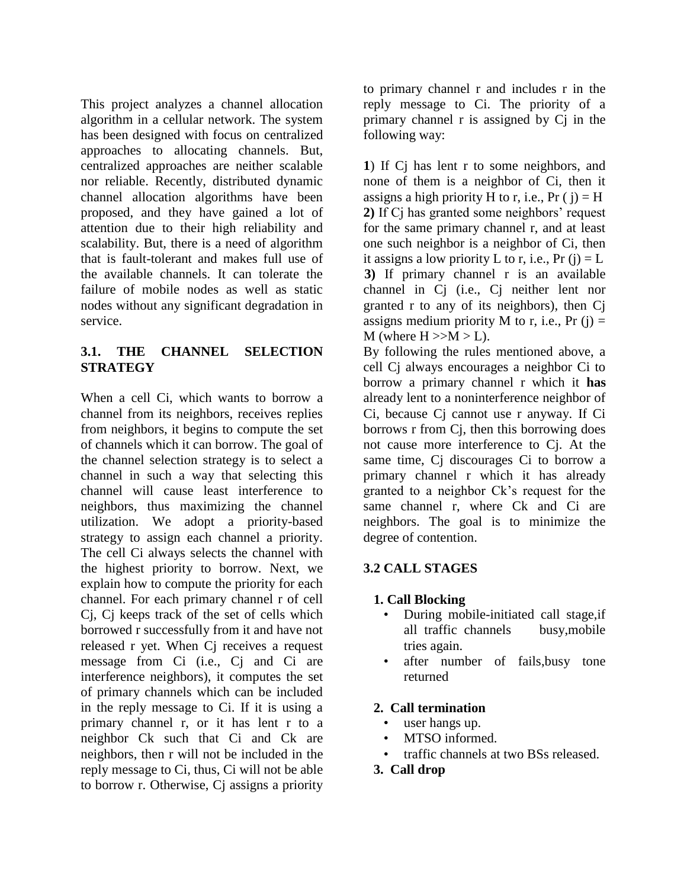This project analyzes a channel allocation algorithm in a cellular network. The system has been designed with focus on centralized approaches to allocating channels. But, centralized approaches are neither scalable nor reliable. Recently, distributed dynamic channel allocation algorithms have been proposed, and they have gained a lot of attention due to their high reliability and scalability. But, there is a need of algorithm that is fault-tolerant and makes full use of the available channels. It can tolerate the failure of mobile nodes as well as static nodes without any significant degradation in service.

## **3.1. THE CHANNEL SELECTION STRATEGY**

When a cell Ci, which wants to borrow a channel from its neighbors, receives replies from neighbors, it begins to compute the set of channels which it can borrow. The goal of the channel selection strategy is to select a channel in such a way that selecting this channel will cause least interference to neighbors, thus maximizing the channel utilization. We adopt a priority-based strategy to assign each channel a priority. The cell Ci always selects the channel with the highest priority to borrow. Next, we explain how to compute the priority for each channel. For each primary channel r of cell Cj, Cj keeps track of the set of cells which borrowed r successfully from it and have not released r yet. When Cj receives a request message from Ci (i.e., Cj and Ci are interference neighbors), it computes the set of primary channels which can be included in the reply message to Ci. If it is using a primary channel r, or it has lent r to a neighbor Ck such that Ci and Ck are neighbors, then r will not be included in the reply message to Ci, thus, Ci will not be able to borrow r. Otherwise, Cj assigns a priority

to primary channel r and includes r in the reply message to Ci. The priority of a primary channel r is assigned by Cj in the following way:

**1**) If Cj has lent r to some neighbors, and none of them is a neighbor of Ci, then it assigns a high priority H to r, i.e.,  $Pr(j) = H$ **2)** If Cj has granted some neighbors' request for the same primary channel r, and at least one such neighbor is a neighbor of Ci, then it assigns a low priority L to r, i.e., Pr  $(i) = L$ **3)** If primary channel r is an available channel in Cj (i.e., Cj neither lent nor granted r to any of its neighbors), then Cj assigns medium priority M to r, i.e., Pr  $(i)$  = M (where  $H >> M > L$ ).

By following the rules mentioned above, a cell Cj always encourages a neighbor Ci to borrow a primary channel r which it **has**  already lent to a noninterference neighbor of Ci, because Cj cannot use r anyway. If Ci borrows r from Cj, then this borrowing does not cause more interference to Cj. At the same time, Cj discourages Ci to borrow a primary channel r which it has already granted to a neighbor Ck's request for the same channel r, where Ck and Ci are neighbors. The goal is to minimize the degree of contention.

## **3.2 CALL STAGES**

## **1. Call Blocking**

- During mobile-initiated call stage,if all traffic channels busy,mobile tries again.
- after number of fails, busy tone returned

## **2. Call termination**

- user hangs up.
- MTSO informed.
- traffic channels at two BSs released.

## **3. Call drop**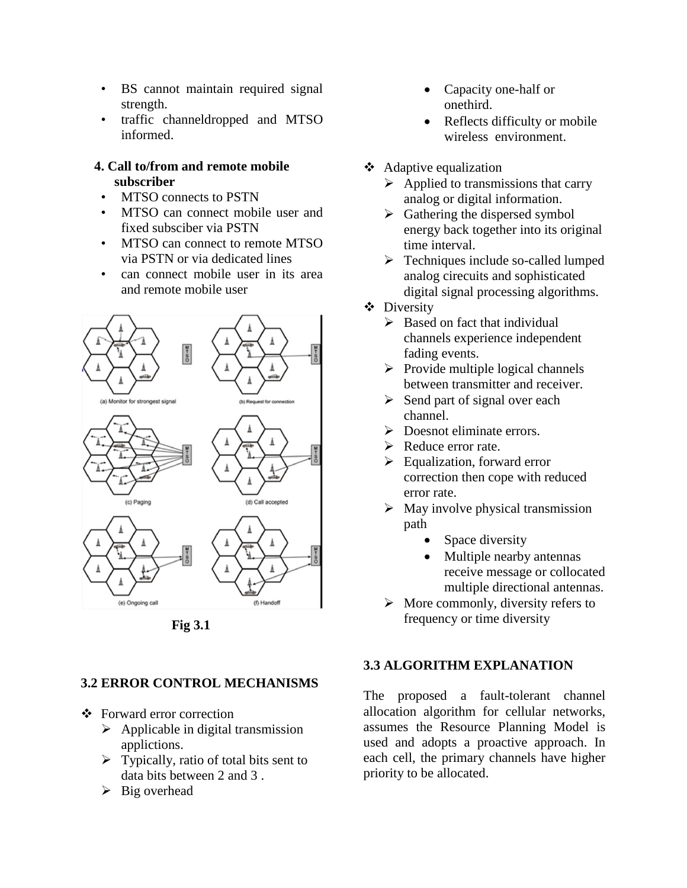- BS cannot maintain required signal strength.
- traffic channeldropped and MTSO informed.

## **4. Call to/from and remote mobile subscriber**

- MTSO connects to PSTN
- MTSO can connect mobile user and fixed subsciber via PSTN
- MTSO can connect to remote MTSO via PSTN or via dedicated lines
- can connect mobile user in its area and remote mobile user



**Fig 3.1**

## **3.2 ERROR CONTROL MECHANISMS**

- ❖ Forward error correction
	- $\triangleright$  Applicable in digital transmission applictions.
	- $\triangleright$  Typically, ratio of total bits sent to data bits between 2 and 3 .
	- $\triangleright$  Big overhead
- Capacity one-half or onethird.
- Reflects difficulty or mobile wireless environment.
- $\triangleleft$  Adaptive equalization
	- $\triangleright$  Applied to transmissions that carry analog or digital information.
	- $\triangleright$  Gathering the dispersed symbol energy back together into its original time interval.
	- $\triangleright$  Techniques include so-called lumped analog cirecuits and sophisticated digital signal processing algorithms.
- Diversity
	- $\triangleright$  Based on fact that individual channels experience independent fading events.
	- $\triangleright$  Provide multiple logical channels between transmitter and receiver.
	- $\triangleright$  Send part of signal over each channel.
	- $\triangleright$  Doesnot eliminate errors.
	- Reduce error rate.
	- $\triangleright$  Equalization, forward error correction then cope with reduced error rate.
	- $\triangleright$  May involve physical transmission path
		- Space diversity
		- Multiple nearby antennas receive message or collocated multiple directional antennas.
	- $\triangleright$  More commonly, diversity refers to frequency or time diversity

## **3.3 ALGORITHM EXPLANATION**

The proposed a fault-tolerant channel allocation algorithm for cellular networks, assumes the Resource Planning Model is used and adopts a proactive approach. In each cell, the primary channels have higher priority to be allocated.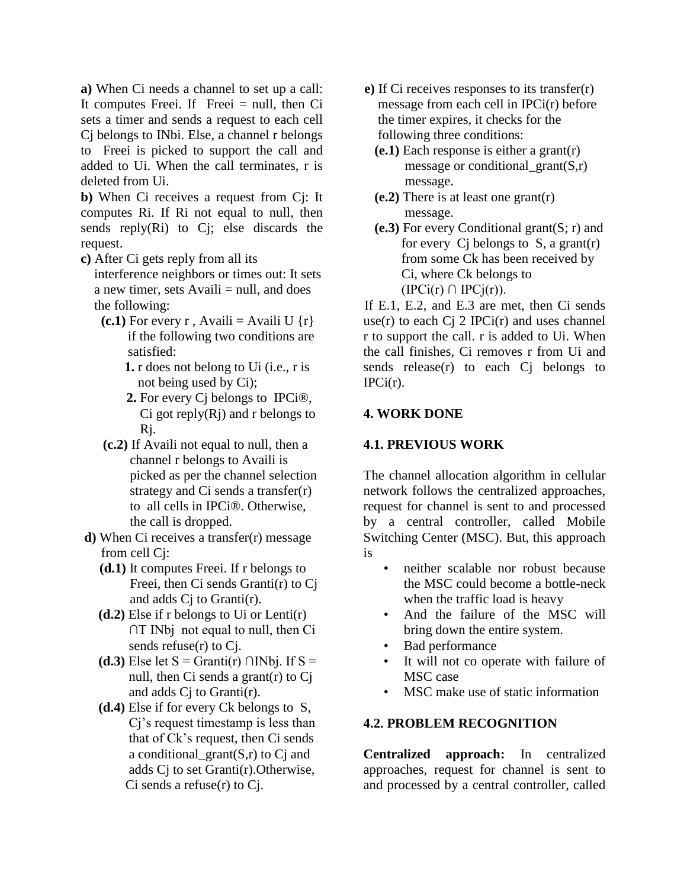**a)** When Ci needs a channel to set up a call: It computes Freei. If Freei = null, then Ci sets a timer and sends a request to each cell Cj belongs to INbi. Else, a channel r belongs to Freei is picked to support the call and added to Ui. When the call terminates, r is deleted from Ui.

**b)** When Ci receives a request from Cj: It computes Ri. If Ri not equal to null, then sends reply(Ri) to Cj; else discards the request.

**c)** After Ci gets reply from all its

 interference neighbors or times out: It sets a new timer, sets  $A$ vaili = null, and does the following:

- **(c.1)** For every r, Availi = Availi U  $\{r\}$  if the following two conditions are satisfied:
	- **1.** r does not belong to Ui (i.e., r is not being used by Ci);
	- **2.** For every Cj belongs to IPCi®,  $Ci$  got reply $(R<sub>i</sub>)$  and r belongs to Rj.
- **(c.2)** If Availi not equal to null, then a channel r belongs to Availi is picked as per the channel selection strategy and Ci sends a transfer(r) to all cells in IPCi®. Otherwise, the call is dropped.
- **d)** When Ci receives a transfer(r) message from cell Cj:
	- **(d.1)** It computes Freei. If r belongs to Freei, then Ci sends Granti(r) to Cj and adds Cj to Granti(r).
	- **(d.2)** Else if r belongs to Ui or Lenti(r) ∩T INbj not equal to null, then Ci sends refuse(r) to Cj.
	- **(d.3)** Else let  $S =$  Granti(r) ∩INbj. If  $S =$ null, then  $Ci$  sends a grant $(r)$  to  $Ci$ and adds Cj to Granti(r).
	- **(d.4)** Else if for every Ck belongs to S, Cj's request timestamp is less than that of Ck's request, then Ci sends a conditional  $\text{grant}(S,r)$  to  $C_i$  and adds Cj to set Granti(r).Otherwise, Ci sends a refuse(r) to Cj.
- **e)** If Ci receives responses to its transfer(r) message from each cell in IPCi(r) before the timer expires, it checks for the following three conditions:
	- **(e.1)** Each response is either a grant(r) message or conditional\_grant $(S,r)$ message.
	- **(e.2)** There is at least one grant(r) message.
	- **(e.3)** For every Conditional grant(S; r) and for every  $C<sub>i</sub>$  belongs to  $S$ , a grant $(r)$  from some Ck has been received by Ci, where Ck belongs to  $(IPCi(r) \cap IPCj(r)).$

If E.1, E.2, and E.3 are met, then Ci sends use(r) to each  $C_1$  2 IPCi(r) and uses channel r to support the call. r is added to Ui. When the call finishes, Ci removes r from Ui and sends release $(r)$  to each  $C<sub>i</sub>$  belongs to  $IPCi(r)$ .

## **4. WORK DONE**

## **4.1. PREVIOUS WORK**

The channel allocation algorithm in cellular network follows the centralized approaches, request for channel is sent to and processed by a central controller, called Mobile Switching Center (MSC). But, this approach is

- neither scalable nor robust because the MSC could become a bottle-neck when the traffic load is heavy
- And the failure of the MSC will bring down the entire system.
- Bad performance
- It will not co operate with failure of MSC case
- MSC make use of static information

## **4.2. PROBLEM RECOGNITION**

**Centralized approach:** In centralized approaches, request for channel is sent to and processed by a central controller, called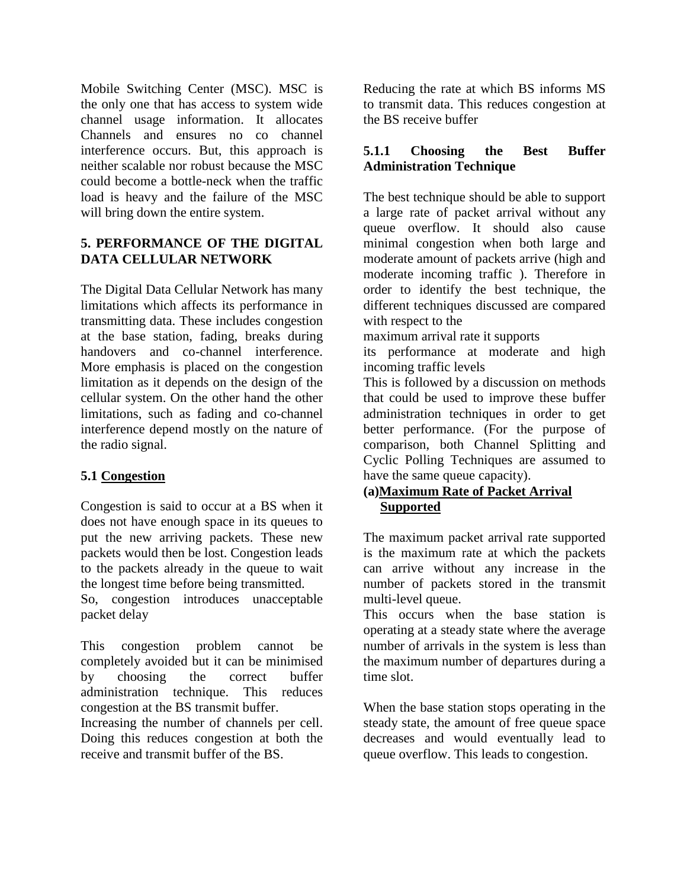Mobile Switching Center (MSC). MSC is the only one that has access to system wide channel usage information. It allocates Channels and ensures no co channel interference occurs. But, this approach is neither scalable nor robust because the MSC could become a bottle-neck when the traffic load is heavy and the failure of the MSC will bring down the entire system.

## **5. PERFORMANCE OF THE DIGITAL DATA CELLULAR NETWORK**

The Digital Data Cellular Network has many limitations which affects its performance in transmitting data. These includes congestion at the base station, fading, breaks during handovers and co-channel interference. More emphasis is placed on the congestion limitation as it depends on the design of the cellular system. On the other hand the other limitations, such as fading and co-channel interference depend mostly on the nature of the radio signal.

## **5.1 Congestion**

Congestion is said to occur at a BS when it does not have enough space in its queues to put the new arriving packets. These new packets would then be lost. Congestion leads to the packets already in the queue to wait the longest time before being transmitted.

So, congestion introduces unacceptable packet delay

This congestion problem cannot be completely avoided but it can be minimised by choosing the correct buffer administration technique. This reduces congestion at the BS transmit buffer.

Increasing the number of channels per cell. Doing this reduces congestion at both the receive and transmit buffer of the BS.

Reducing the rate at which BS informs MS to transmit data. This reduces congestion at the BS receive buffer

## **5.1.1 Choosing the Best Buffer Administration Technique**

The best technique should be able to support a large rate of packet arrival without any queue overflow. It should also cause minimal congestion when both large and moderate amount of packets arrive (high and moderate incoming traffic ). Therefore in order to identify the best technique, the different techniques discussed are compared with respect to the

maximum arrival rate it supports

its performance at moderate and high incoming traffic levels

This is followed by a discussion on methods that could be used to improve these buffer administration techniques in order to get better performance. (For the purpose of comparison, both Channel Splitting and Cyclic Polling Techniques are assumed to have the same queue capacity).

## **(a)Maximum Rate of Packet Arrival Supported**

The maximum packet arrival rate supported is the maximum rate at which the packets can arrive without any increase in the number of packets stored in the transmit multi-level queue.

This occurs when the base station is operating at a steady state where the average number of arrivals in the system is less than the maximum number of departures during a time slot.

When the base station stops operating in the steady state, the amount of free queue space decreases and would eventually lead to queue overflow. This leads to congestion.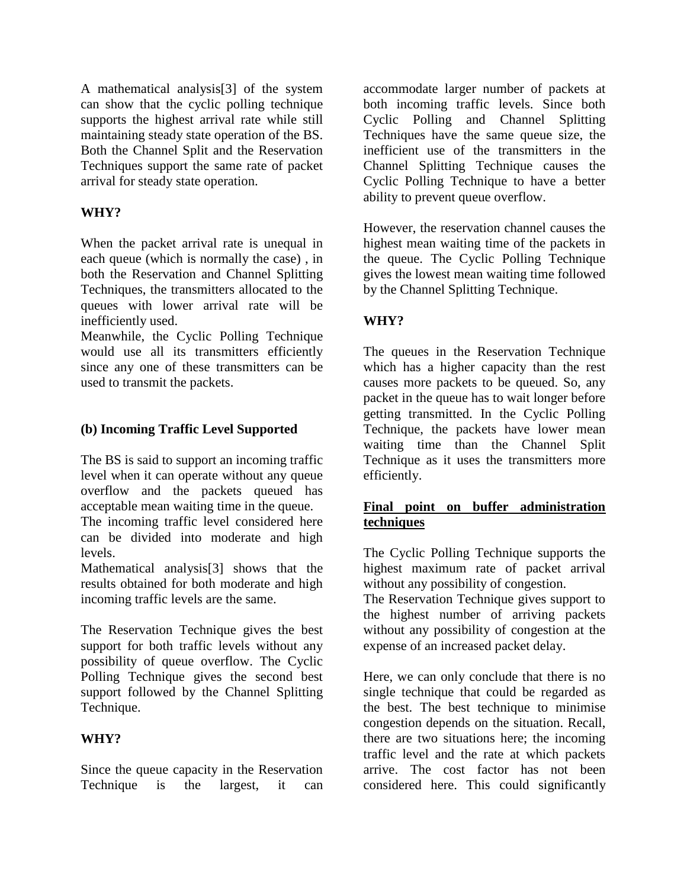A mathematical analysis[3] of the system can show that the cyclic polling technique supports the highest arrival rate while still maintaining steady state operation of the BS. Both the Channel Split and the Reservation Techniques support the same rate of packet arrival for steady state operation.

## **WHY?**

When the packet arrival rate is unequal in each queue (which is normally the case) , in both the Reservation and Channel Splitting Techniques, the transmitters allocated to the queues with lower arrival rate will be inefficiently used.

Meanwhile, the Cyclic Polling Technique would use all its transmitters efficiently since any one of these transmitters can be used to transmit the packets.

## **(b) Incoming Traffic Level Supported**

The BS is said to support an incoming traffic level when it can operate without any queue overflow and the packets queued has acceptable mean waiting time in the queue.

The incoming traffic level considered here can be divided into moderate and high levels.

Mathematical analysis[3] shows that the results obtained for both moderate and high incoming traffic levels are the same.

The Reservation Technique gives the best support for both traffic levels without any possibility of queue overflow. The Cyclic Polling Technique gives the second best support followed by the Channel Splitting Technique.

## **WHY?**

Since the queue capacity in the Reservation Technique is the largest, it can accommodate larger number of packets at both incoming traffic levels. Since both Cyclic Polling and Channel Splitting Techniques have the same queue size, the inefficient use of the transmitters in the Channel Splitting Technique causes the Cyclic Polling Technique to have a better ability to prevent queue overflow.

However, the reservation channel causes the highest mean waiting time of the packets in the queue. The Cyclic Polling Technique gives the lowest mean waiting time followed by the Channel Splitting Technique.

## **WHY?**

The queues in the Reservation Technique which has a higher capacity than the rest causes more packets to be queued. So, any packet in the queue has to wait longer before getting transmitted. In the Cyclic Polling Technique, the packets have lower mean waiting time than the Channel Split Technique as it uses the transmitters more efficiently.

## **Final point on buffer administration techniques**

The Cyclic Polling Technique supports the highest maximum rate of packet arrival without any possibility of congestion.

The Reservation Technique gives support to the highest number of arriving packets without any possibility of congestion at the expense of an increased packet delay.

Here, we can only conclude that there is no single technique that could be regarded as the best. The best technique to minimise congestion depends on the situation. Recall, there are two situations here; the incoming traffic level and the rate at which packets arrive. The cost factor has not been considered here. This could significantly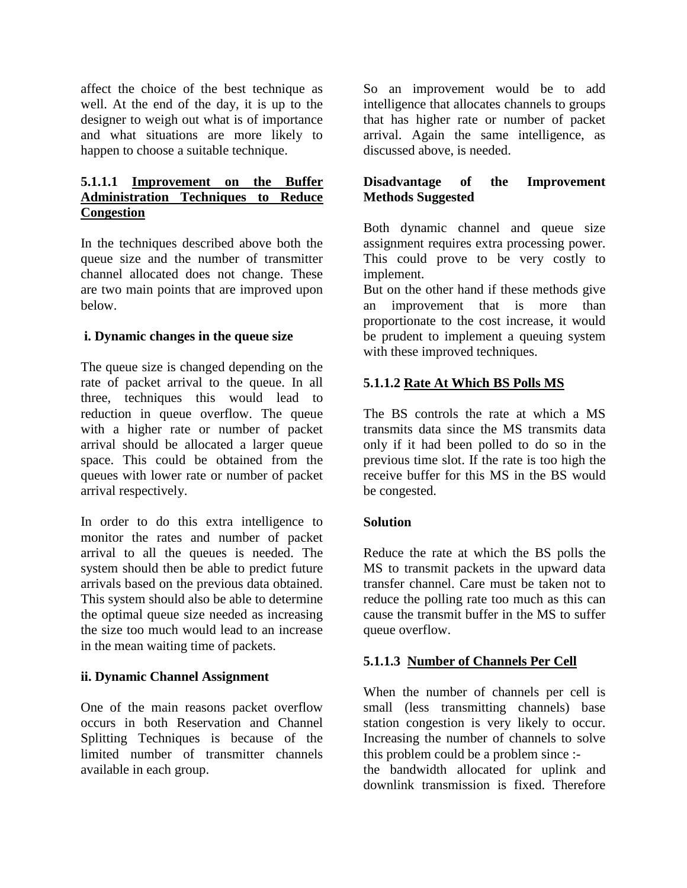affect the choice of the best technique as well. At the end of the day, it is up to the designer to weigh out what is of importance and what situations are more likely to happen to choose a suitable technique.

## **5.1.1.1 Improvement on the Buffer Administration Techniques to Reduce Congestion**

In the techniques described above both the queue size and the number of transmitter channel allocated does not change. These are two main points that are improved upon below.

## **i. Dynamic changes in the queue size**

The queue size is changed depending on the rate of packet arrival to the queue. In all three, techniques this would lead to reduction in queue overflow. The queue with a higher rate or number of packet arrival should be allocated a larger queue space. This could be obtained from the queues with lower rate or number of packet arrival respectively.

In order to do this extra intelligence to monitor the rates and number of packet arrival to all the queues is needed. The system should then be able to predict future arrivals based on the previous data obtained. This system should also be able to determine the optimal queue size needed as increasing the size too much would lead to an increase in the mean waiting time of packets.

## **ii. Dynamic Channel Assignment**

One of the main reasons packet overflow occurs in both Reservation and Channel Splitting Techniques is because of the limited number of transmitter channels available in each group.

So an improvement would be to add intelligence that allocates channels to groups that has higher rate or number of packet arrival. Again the same intelligence, as discussed above, is needed.

## **Disadvantage of the Improvement Methods Suggested**

Both dynamic channel and queue size assignment requires extra processing power. This could prove to be very costly to implement.

But on the other hand if these methods give an improvement that is more than proportionate to the cost increase, it would be prudent to implement a queuing system with these improved techniques.

## **5.1.1.2 Rate At Which BS Polls MS**

The BS controls the rate at which a MS transmits data since the MS transmits data only if it had been polled to do so in the previous time slot. If the rate is too high the receive buffer for this MS in the BS would be congested.

## **Solution**

Reduce the rate at which the BS polls the MS to transmit packets in the upward data transfer channel. Care must be taken not to reduce the polling rate too much as this can cause the transmit buffer in the MS to suffer queue overflow.

## **5.1.1.3 Number of Channels Per Cell**

When the number of channels per cell is small (less transmitting channels) base station congestion is very likely to occur. Increasing the number of channels to solve this problem could be a problem since :-

the bandwidth allocated for uplink and downlink transmission is fixed. Therefore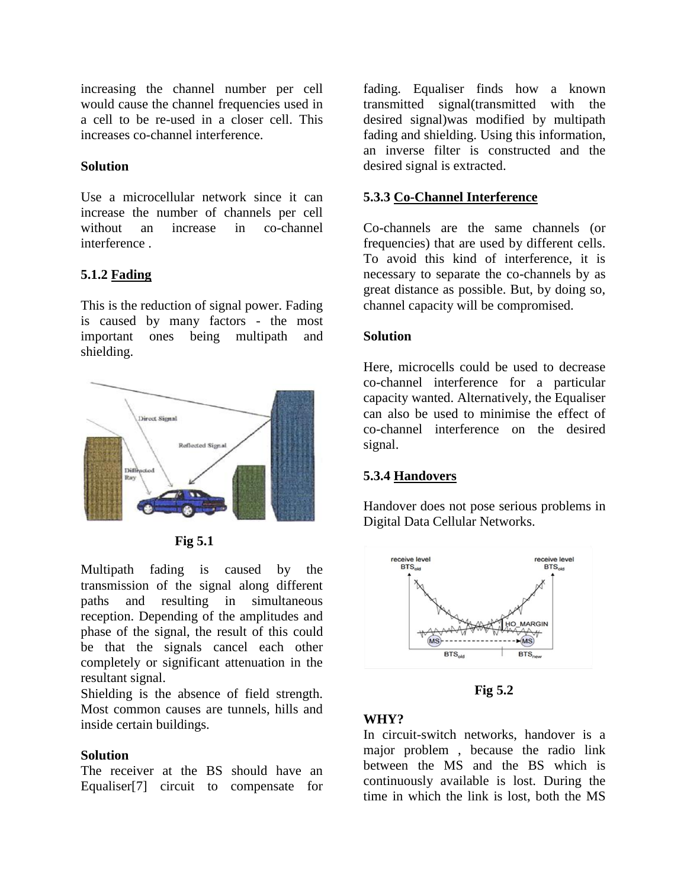increasing the channel number per cell would cause the channel frequencies used in a cell to be re-used in a closer cell. This increases co-channel interference.

## **Solution**

Use a microcellular network since it can increase the number of channels per cell without an increase in co-channel interference .

## **5.1.2 Fading**

This is the reduction of signal power. Fading is caused by many factors - the most important ones being multipath and shielding.



**Fig 5.1**

Multipath fading is caused by the transmission of the signal along different paths and resulting in simultaneous reception. Depending of the amplitudes and phase of the signal, the result of this could be that the signals cancel each other completely or significant attenuation in the resultant signal.

Shielding is the absence of field strength. Most common causes are tunnels, hills and inside certain buildings.

#### **Solution**

The receiver at the BS should have an Equaliser[7] circuit to compensate for fading. Equaliser finds how a known transmitted signal(transmitted with the desired signal)was modified by multipath fading and shielding. Using this information, an inverse filter is constructed and the desired signal is extracted.

## **5.3.3 Co-Channel Interference**

Co-channels are the same channels (or frequencies) that are used by different cells. To avoid this kind of interference, it is necessary to separate the co-channels by as great distance as possible. But, by doing so, channel capacity will be compromised.

#### **Solution**

Here, microcells could be used to decrease co-channel interference for a particular capacity wanted. Alternatively, the Equaliser can also be used to minimise the effect of co-channel interference on the desired signal.

## **5.3.4 Handovers**

Handover does not pose serious problems in Digital Data Cellular Networks.



 **Fig 5.2**

## **WHY?**

In circuit-switch networks, handover is a major problem , because the radio link between the MS and the BS which is continuously available is lost. During the time in which the link is lost, both the MS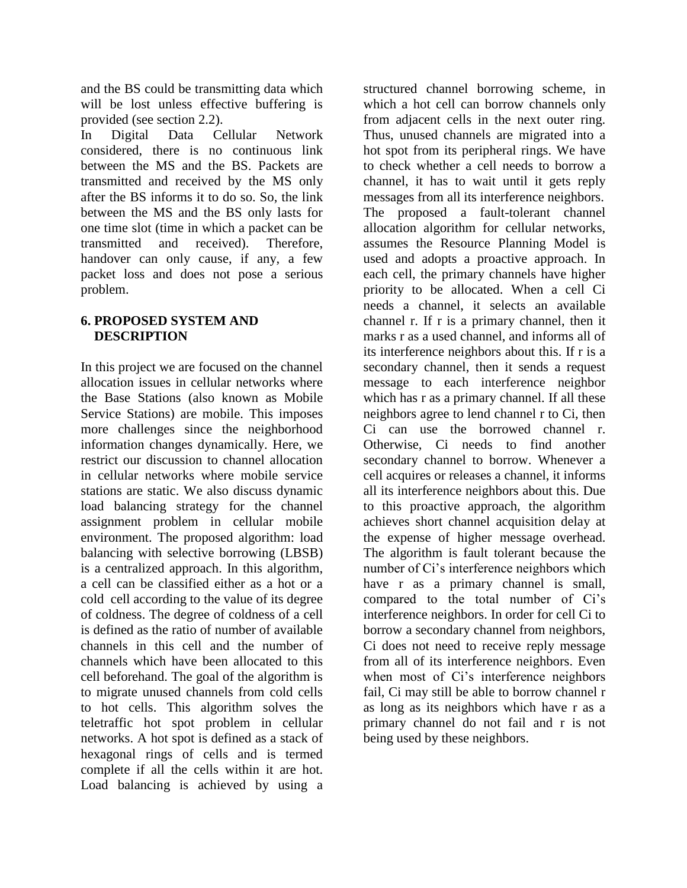and the BS could be transmitting data which will be lost unless effective buffering is provided (see section 2.2).

In Digital Data Cellular Network considered, there is no continuous link between the MS and the BS. Packets are transmitted and received by the MS only after the BS informs it to do so. So, the link between the MS and the BS only lasts for one time slot (time in which a packet can be transmitted and received). Therefore, handover can only cause, if any, a few packet loss and does not pose a serious problem.

## **6. PROPOSED SYSTEM AND DESCRIPTION**

In this project we are focused on the channel allocation issues in cellular networks where the Base Stations (also known as Mobile Service Stations) are mobile. This imposes more challenges since the neighborhood information changes dynamically. Here, we restrict our discussion to channel allocation in cellular networks where mobile service stations are static. We also discuss dynamic load balancing strategy for the channel assignment problem in cellular mobile environment. The proposed algorithm: load balancing with selective borrowing (LBSB) is a centralized approach. In this algorithm, a cell can be classified either as a hot or a cold cell according to the value of its degree of coldness. The degree of coldness of a cell is defined as the ratio of number of available channels in this cell and the number of channels which have been allocated to this cell beforehand. The goal of the algorithm is to migrate unused channels from cold cells to hot cells. This algorithm solves the teletraffic hot spot problem in cellular networks. A hot spot is defined as a stack of hexagonal rings of cells and is termed complete if all the cells within it are hot. Load balancing is achieved by using a

structured channel borrowing scheme, in which a hot cell can borrow channels only from adjacent cells in the next outer ring. Thus, unused channels are migrated into a hot spot from its peripheral rings. We have to check whether a cell needs to borrow a channel, it has to wait until it gets reply messages from all its interference neighbors. The proposed a fault-tolerant channel allocation algorithm for cellular networks, assumes the Resource Planning Model is used and adopts a proactive approach. In each cell, the primary channels have higher priority to be allocated. When a cell Ci needs a channel, it selects an available channel r. If r is a primary channel, then it marks r as a used channel, and informs all of its interference neighbors about this. If r is a secondary channel, then it sends a request message to each interference neighbor which has r as a primary channel. If all these neighbors agree to lend channel r to Ci, then Ci can use the borrowed channel r. Otherwise, Ci needs to find another secondary channel to borrow. Whenever a cell acquires or releases a channel, it informs all its interference neighbors about this. Due to this proactive approach, the algorithm achieves short channel acquisition delay at the expense of higher message overhead. The algorithm is fault tolerant because the number of Ci's interference neighbors which have r as a primary channel is small, compared to the total number of Ci's interference neighbors. In order for cell Ci to borrow a secondary channel from neighbors, Ci does not need to receive reply message from all of its interference neighbors. Even when most of Ci's interference neighbors fail, Ci may still be able to borrow channel r as long as its neighbors which have r as a primary channel do not fail and r is not being used by these neighbors.